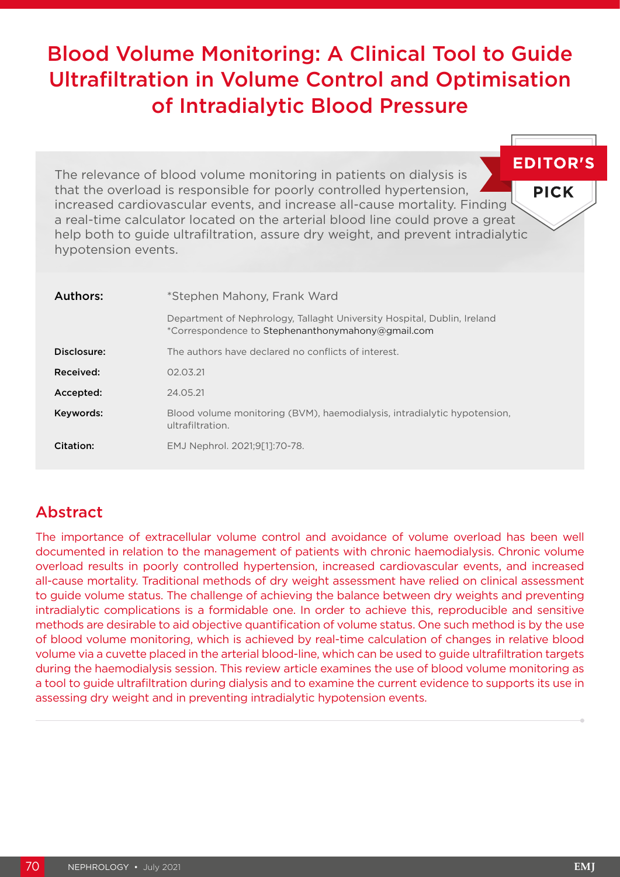# Blood Volume Monitoring: A Clinical Tool to Guide Ultrafiltration in Volume Control and Optimisation of Intradialytic Blood Pressure

| The relevance of blood volume monitoring in patients on dialysis is                                                                                                                                                                                                                                                                              | <b>EDITOR'</b> |
|--------------------------------------------------------------------------------------------------------------------------------------------------------------------------------------------------------------------------------------------------------------------------------------------------------------------------------------------------|----------------|
| that the overload is responsible for poorly controlled hypertension,<br>increased cardiovascular events, and increase all-cause mortality. Finding '<br>a real-time calculator located on the arterial blood line could prove a great<br>help both to guide ultrafiltration, assure dry weight, and prevent intradialytic<br>hypotension events. | <b>PICK</b>    |
|                                                                                                                                                                                                                                                                                                                                                  |                |

| Authors:    | *Stephen Mahony, Frank Ward                                                                                                  |  |  |
|-------------|------------------------------------------------------------------------------------------------------------------------------|--|--|
|             | Department of Nephrology, Tallaght University Hospital, Dublin, Ireland<br>*Correspondence to Stephenanthonymahony@gmail.com |  |  |
| Disclosure: | The authors have declared no conflicts of interest.                                                                          |  |  |
| Received:   | 02.03.21                                                                                                                     |  |  |
| Accepted:   | 24.05.21                                                                                                                     |  |  |
| Keywords:   | Blood volume monitoring (BVM), haemodialysis, intradialytic hypotension,<br>ultrafiltration.                                 |  |  |
| Citation:   | EMJ Nephrol. 2021;9[1]:70-78.                                                                                                |  |  |

# Abstract

The importance of extracellular volume control and avoidance of volume overload has been well documented in relation to the management of patients with chronic haemodialysis. Chronic volume overload results in poorly controlled hypertension, increased cardiovascular events, and increased all-cause mortality. Traditional methods of dry weight assessment have relied on clinical assessment to guide volume status. The challenge of achieving the balance between dry weights and preventing intradialytic complications is a formidable one. In order to achieve this, reproducible and sensitive methods are desirable to aid objective quantification of volume status. One such method is by the use of blood volume monitoring, which is achieved by real-time calculation of changes in relative blood volume via a cuvette placed in the arterial blood-line, which can be used to guide ultrafiltration targets during the haemodialysis session. This review article examines the use of blood volume monitoring as a tool to guide ultrafiltration during dialysis and to examine the current evidence to supports its use in assessing dry weight and in preventing intradialytic hypotension events.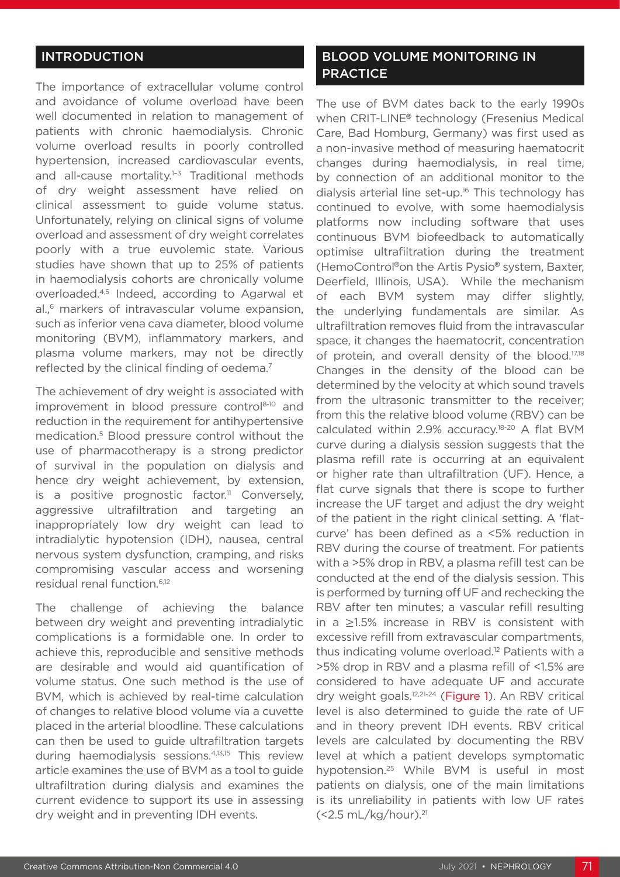## INTRODUCTION

The importance of extracellular volume control and avoidance of volume overload have been well documented in relation to management of patients with chronic haemodialysis. Chronic volume overload results in poorly controlled hypertension, increased cardiovascular events, and all-cause mortality.<sup>1-3</sup> Traditional methods of dry weight assessment have relied on clinical assessment to guide volume status. Unfortunately, relying on clinical signs of volume overload and assessment of dry weight correlates poorly with a true euvolemic state. Various studies have shown that up to 25% of patients in haemodialysis cohorts are chronically volume overloaded.4,5 Indeed, according to Agarwal et al.,<sup>6</sup> markers of intravascular volume expansion, such as inferior vena cava diameter, blood volume monitoring (BVM), inflammatory markers, and plasma volume markers, may not be directly reflected by the clinical finding of oedema.<sup>7</sup>

The achievement of dry weight is associated with improvement in blood pressure control8-10 and reduction in the requirement for antihypertensive medication.5 Blood pressure control without the use of pharmacotherapy is a strong predictor of survival in the population on dialysis and hence dry weight achievement, by extension, is a positive prognostic factor.<sup>11</sup> Conversely, aggressive ultrafiltration and targeting an inappropriately low dry weight can lead to intradialytic hypotension (IDH), nausea, central nervous system dysfunction, cramping, and risks compromising vascular access and worsening residual renal function.6,12

The challenge of achieving the balance between dry weight and preventing intradialytic complications is a formidable one. In order to achieve this, reproducible and sensitive methods are desirable and would aid quantification of volume status. One such method is the use of BVM, which is achieved by real-time calculation of changes to relative blood volume via a cuvette placed in the arterial bloodline. These calculations can then be used to guide ultrafiltration targets during haemodialysis sessions.4,13,15 This review article examines the use of BVM as a tool to guide ultrafiltration during dialysis and examines the current evidence to support its use in assessing dry weight and in preventing IDH events.

## BLOOD VOLUME MONITORING IN **PRACTICE**

The use of BVM dates back to the early 1990s when CRIT-LINE**®** technology (Fresenius Medical Care, Bad Homburg, Germany) was first used as a non-invasive method of measuring haematocrit changes during haemodialysis, in real time, by connection of an additional monitor to the dialysis arterial line set-up.<sup>16</sup> This technology has continued to evolve, with some haemodialysis platforms now including software that uses continuous BVM biofeedback to automatically optimise ultrafiltration during the treatment (HemoControl**®**on the Artis Pysio**®** system, Baxter, Deerfield, Illinois, USA). While the mechanism of each BVM system may differ slightly, the underlying fundamentals are similar. As ultrafiltration removes fluid from the intravascular space, it changes the haematocrit, concentration of protein, and overall density of the blood.<sup>17,18</sup> Changes in the density of the blood can be determined by the velocity at which sound travels from the ultrasonic transmitter to the receiver; from this the relative blood volume (RBV) can be calculated within 2.9% accuracy.18-20 A flat BVM curve during a dialysis session suggests that the plasma refill rate is occurring at an equivalent or higher rate than ultrafiltration (UF). Hence, a flat curve signals that there is scope to further increase the UF target and adjust the dry weight of the patient in the right clinical setting. A 'flatcurve' has been defined as a <5% reduction in RBV during the course of treatment. For patients with a >5% drop in RBV, a plasma refill test can be conducted at the end of the dialysis session. This is performed by turning off UF and rechecking the RBV after ten minutes; a vascular refill resulting in a ≥1.5% increase in RBV is consistent with excessive refill from extravascular compartments, thus indicating volume overload.12 Patients with a >5% drop in RBV and a plasma refill of <1.5% are considered to have adequate UF and accurate dry weight goals.<sup>12,21-24</sup> (Figure 1). An RBV critical level is also determined to guide the rate of UF and in theory prevent IDH events. RBV critical levels are calculated by documenting the RBV level at which a patient develops symptomatic hypotension.25 While BVM is useful in most patients on dialysis, one of the main limitations is its unreliability in patients with low UF rates  $(<$ 2.5 mL/kg/hour). $^{21}$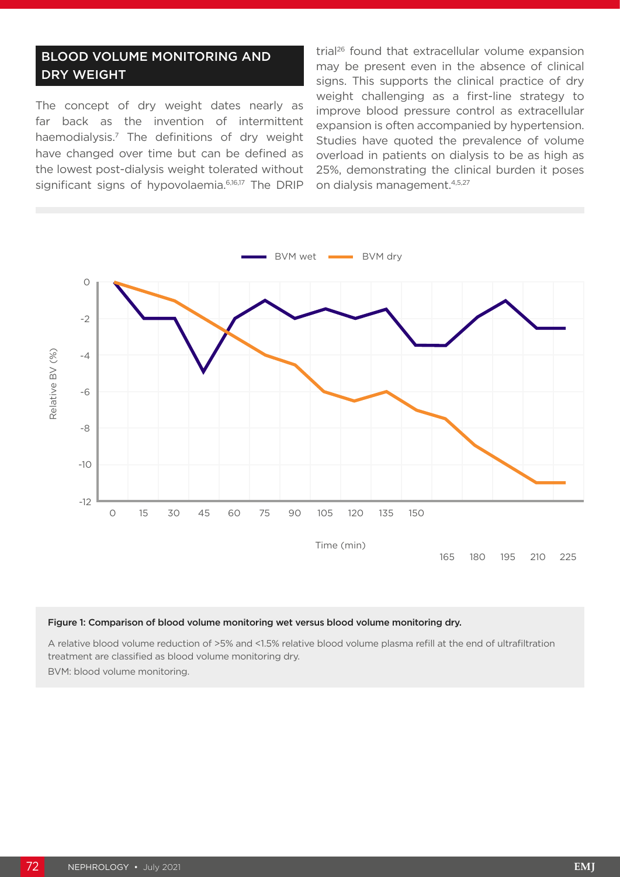## BLOOD VOLUME MONITORING AND DRY WEIGHT

The concept of dry weight dates nearly as far back as the invention of intermittent haemodialysis.7 The definitions of dry weight have changed over time but can be defined as the lowest post-dialysis weight tolerated without significant signs of hypovolaemia.<sup>6,16,17</sup> The DRIP

trial<sup>26</sup> found that extracellular volume expansion may be present even in the absence of clinical signs. This supports the clinical practice of dry weight challenging as a first-line strategy to improve blood pressure control as extracellular expansion is often accompanied by hypertension. Studies have quoted the prevalence of volume overload in patients on dialysis to be as high as 25%, demonstrating the clinical burden it poses on dialysis management.4,5,27



#### Figure 1: Comparison of blood volume monitoring wet versus blood volume monitoring dry.

A relative blood volume reduction of >5% and <1.5% relative blood volume plasma refill at the end of ultrafiltration treatment are classified as blood volume monitoring dry. BVM: blood volume monitoring.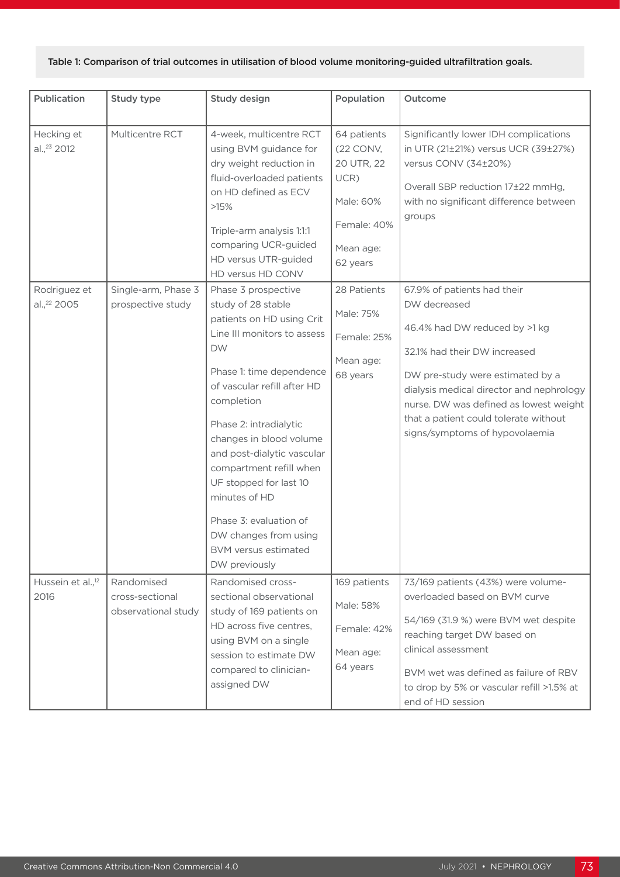### Table 1: Comparison of trial outcomes in utilisation of blood volume monitoring-guided ultrafiltration goals.

| Publication                                           | Study type                                           | Study design                                                                                                                                                                                                                                                                                                                                                                                                              | Population                                                                                                         | Outcome                                                                                                                                                                                                                                                                            |
|-------------------------------------------------------|------------------------------------------------------|---------------------------------------------------------------------------------------------------------------------------------------------------------------------------------------------------------------------------------------------------------------------------------------------------------------------------------------------------------------------------------------------------------------------------|--------------------------------------------------------------------------------------------------------------------|------------------------------------------------------------------------------------------------------------------------------------------------------------------------------------------------------------------------------------------------------------------------------------|
| Hecking et<br>al., <sup>23</sup> 2012<br>Rodriguez et | Multicentre RCT<br>Single-arm, Phase 3               | 4-week, multicentre RCT<br>using BVM guidance for<br>dry weight reduction in<br>fluid-overloaded patients<br>on HD defined as ECV<br>>15%<br>Triple-arm analysis 1:1:1<br>comparing UCR-guided<br>HD versus UTR-guided<br>HD versus HD CONV<br>Phase 3 prospective                                                                                                                                                        | 64 patients<br>(22 CONV,<br>20 UTR, 22<br>UCR)<br>Male: 60%<br>Female: 40%<br>Mean age:<br>62 years<br>28 Patients | Significantly lower IDH complications<br>in UTR (21±21%) versus UCR (39±27%)<br>versus CONV (34±20%)<br>Overall SBP reduction 17±22 mmHg,<br>with no significant difference between<br>groups<br>67.9% of patients had their                                                       |
| al., <sup>22</sup> 2005                               | prospective study                                    | study of 28 stable<br>patients on HD using Crit<br>Line III monitors to assess<br><b>DW</b><br>Phase 1: time dependence<br>of vascular refill after HD<br>completion<br>Phase 2: intradialytic<br>changes in blood volume<br>and post-dialytic vascular<br>compartment refill when<br>UF stopped for last 10<br>minutes of HD<br>Phase 3: evaluation of<br>DW changes from using<br>BVM versus estimated<br>DW previously | Male: 75%<br>Female: 25%<br>Mean age:<br>68 years                                                                  | DW decreased<br>46.4% had DW reduced by >1 kg<br>32.1% had their DW increased<br>DW pre-study were estimated by a<br>dialysis medical director and nephrology<br>nurse. DW was defined as lowest weight<br>that a patient could tolerate without<br>signs/symptoms of hypovolaemia |
| Hussein et al., <sup>12</sup><br>2016                 | Randomised<br>cross-sectional<br>observational study | Randomised cross-<br>sectional observational<br>study of 169 patients on<br>HD across five centres,<br>using BVM on a single<br>session to estimate DW<br>compared to clinician-<br>assigned DW                                                                                                                                                                                                                           | 169 patients<br>Male: 58%<br>Female: 42%<br>Mean age:<br>64 years                                                  | 73/169 patients (43%) were volume-<br>overloaded based on BVM curve<br>54/169 (31.9 %) were BVM wet despite<br>reaching target DW based on<br>clinical assessment<br>BVM wet was defined as failure of RBV<br>to drop by 5% or vascular refill >1.5% at<br>end of HD session       |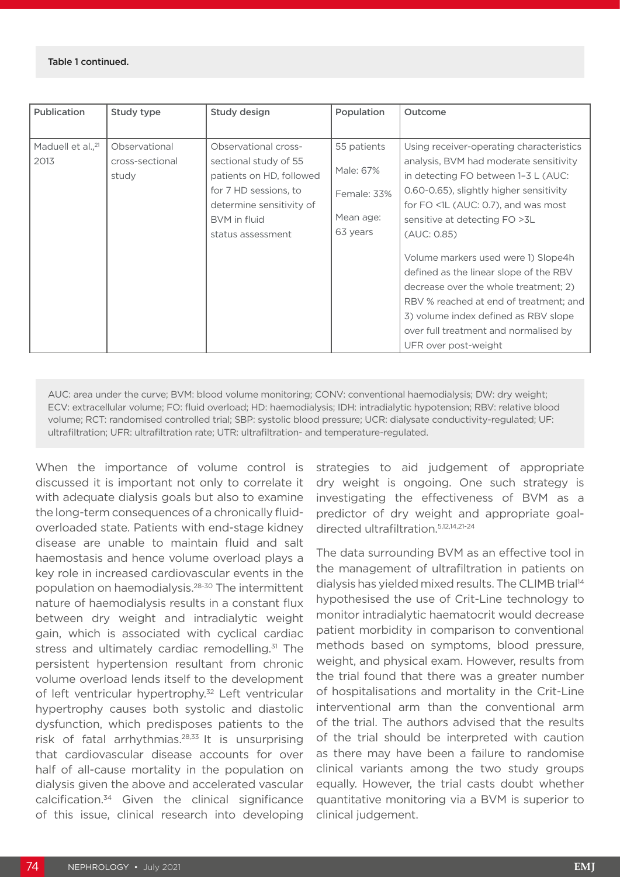#### Table 1 continued.

| Publication                           | Study type                                | Study design                                                                                                                                                        | Population                                                       | Outcome                                                                                                                                                                                                                                                                                                                                                                                                                                                                                                                                   |
|---------------------------------------|-------------------------------------------|---------------------------------------------------------------------------------------------------------------------------------------------------------------------|------------------------------------------------------------------|-------------------------------------------------------------------------------------------------------------------------------------------------------------------------------------------------------------------------------------------------------------------------------------------------------------------------------------------------------------------------------------------------------------------------------------------------------------------------------------------------------------------------------------------|
|                                       |                                           |                                                                                                                                                                     |                                                                  |                                                                                                                                                                                                                                                                                                                                                                                                                                                                                                                                           |
| Maduell et al., <sup>21</sup><br>2013 | Observational<br>cross-sectional<br>study | Observational cross-<br>sectional study of 55<br>patients on HD, followed<br>for 7 HD sessions, to<br>determine sensitivity of<br>BVM in fluid<br>status assessment | 55 patients<br>Male: 67%<br>Female: 33%<br>Mean age:<br>63 years | Using receiver-operating characteristics<br>analysis, BVM had moderate sensitivity<br>in detecting FO between 1-3 L (AUC:<br>0.60-0.65), slightly higher sensitivity<br>for FO <1L (AUC: 0.7), and was most<br>sensitive at detecting FO > 3L<br>(AUC: 0.85)<br>Volume markers used were 1) Slope4h<br>defined as the linear slope of the RBV<br>decrease over the whole treatment; 2)<br>RBV % reached at end of treatment; and<br>3) volume index defined as RBV slope<br>over full treatment and normalised by<br>UFR over post-weight |

AUC: area under the curve; BVM: blood volume monitoring; CONV: conventional haemodialysis; DW: dry weight; ECV: extracellular volume; FO: fluid overload; HD: haemodialysis; IDH: intradialytic hypotension; RBV: relative blood volume; RCT: randomised controlled trial; SBP: systolic blood pressure; UCR: dialysate conductivity-regulated; UF: ultrafiltration; UFR: ultrafiltration rate; UTR: ultrafiltration- and temperature-regulated.

When the importance of volume control is discussed it is important not only to correlate it with adequate dialysis goals but also to examine the long-term consequences of a chronically fluidoverloaded state. Patients with end-stage kidney disease are unable to maintain fluid and salt haemostasis and hence volume overload plays a key role in increased cardiovascular events in the population on haemodialysis.28-30 The intermittent nature of haemodialysis results in a constant flux between dry weight and intradialytic weight gain, which is associated with cyclical cardiac stress and ultimately cardiac remodelling.<sup>31</sup> The persistent hypertension resultant from chronic volume overload lends itself to the development of left ventricular hypertrophy.<sup>32</sup> Left ventricular hypertrophy causes both systolic and diastolic dysfunction, which predisposes patients to the risk of fatal arrhythmias.28,33 It is unsurprising that cardiovascular disease accounts for over half of all-cause mortality in the population on dialysis given the above and accelerated vascular calcification.34 Given the clinical significance of this issue, clinical research into developing

strategies to aid judgement of appropriate dry weight is ongoing. One such strategy is investigating the effectiveness of BVM as a predictor of dry weight and appropriate goaldirected ultrafiltration.5,12,14,21-24

The data surrounding BVM as an effective tool in the management of ultrafiltration in patients on dialysis has yielded mixed results. The CLIMB trial<sup>14</sup> hypothesised the use of Crit-Line technology to monitor intradialytic haematocrit would decrease patient morbidity in comparison to conventional methods based on symptoms, blood pressure, weight, and physical exam. However, results from the trial found that there was a greater number of hospitalisations and mortality in the Crit-Line interventional arm than the conventional arm of the trial. The authors advised that the results of the trial should be interpreted with caution as there may have been a failure to randomise clinical variants among the two study groups equally. However, the trial casts doubt whether quantitative monitoring via a BVM is superior to clinical judgement.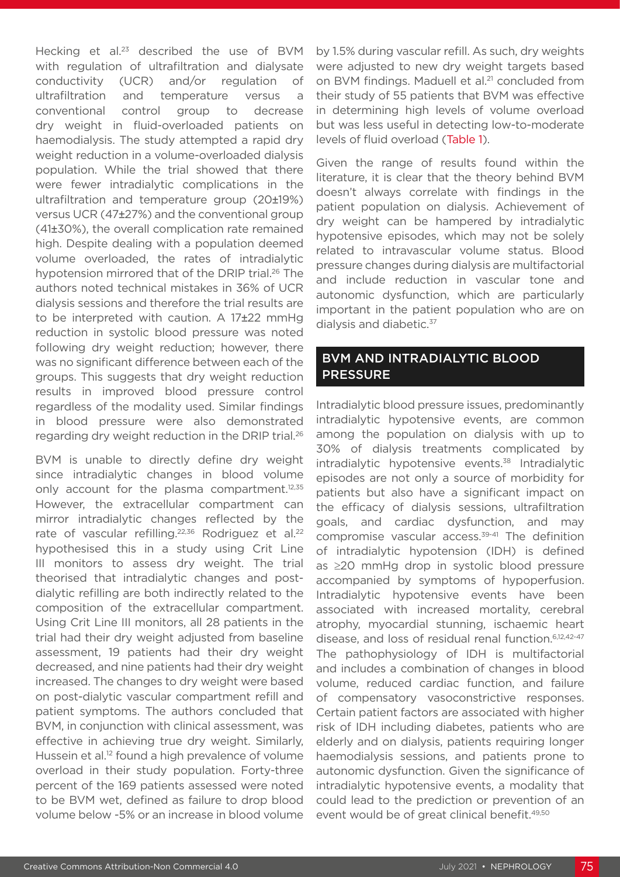Hecking et al.<sup>23</sup> described the use of BVM with regulation of ultrafiltration and dialysate conductivity (UCR) and/or regulation of ultrafiltration and temperature versus a conventional control group to decrease dry weight in fluid-overloaded patients on haemodialysis. The study attempted a rapid dry weight reduction in a volume-overloaded dialysis population. While the trial showed that there were fewer intradialytic complications in the ultrafiltration and temperature group (20±19%) versus UCR (47±27%) and the conventional group (41±30%), the overall complication rate remained high. Despite dealing with a population deemed volume overloaded, the rates of intradialytic hypotension mirrored that of the DRIP trial.<sup>26</sup> The authors noted technical mistakes in 36% of UCR dialysis sessions and therefore the trial results are to be interpreted with caution. A 17±22 mmHg reduction in systolic blood pressure was noted following dry weight reduction; however, there was no significant difference between each of the groups. This suggests that dry weight reduction results in improved blood pressure control regardless of the modality used. Similar findings in blood pressure were also demonstrated regarding dry weight reduction in the DRIP trial.26

BVM is unable to directly define dry weight since intradialytic changes in blood volume only account for the plasma compartment.<sup>12,35</sup> However, the extracellular compartment can mirror intradialytic changes reflected by the rate of vascular refilling.<sup>22,36</sup> Rodriguez et al.<sup>22</sup> hypothesised this in a study using Crit Line III monitors to assess dry weight. The trial theorised that intradialytic changes and postdialytic refilling are both indirectly related to the composition of the extracellular compartment. Using Crit Line III monitors, all 28 patients in the trial had their dry weight adjusted from baseline assessment, 19 patients had their dry weight decreased, and nine patients had their dry weight increased. The changes to dry weight were based on post-dialytic vascular compartment refill and patient symptoms. The authors concluded that BVM, in conjunction with clinical assessment, was effective in achieving true dry weight. Similarly, Hussein et al.<sup>12</sup> found a high prevalence of volume overload in their study population. Forty-three percent of the 169 patients assessed were noted to be BVM wet, defined as failure to drop blood volume below -5% or an increase in blood volume

by 1.5% during vascular refill. As such, dry weights were adjusted to new dry weight targets based on BVM findings. Maduell et al.<sup>21</sup> concluded from their study of 55 patients that BVM was effective in determining high levels of volume overload but was less useful in detecting low-to-moderate levels of fluid overload (Table 1).

Given the range of results found within the literature, it is clear that the theory behind BVM doesn't always correlate with findings in the patient population on dialysis. Achievement of dry weight can be hampered by intradialytic hypotensive episodes, which may not be solely related to intravascular volume status. Blood pressure changes during dialysis are multifactorial and include reduction in vascular tone and autonomic dysfunction, which are particularly important in the patient population who are on dialysis and diabetic.<sup>37</sup>

## BVM AND INTRADIALYTIC BLOOD PRESSURE

Intradialytic blood pressure issues, predominantly intradialytic hypotensive events, are common among the population on dialysis with up to 30% of dialysis treatments complicated by intradialytic hypotensive events.<sup>38</sup> Intradialytic episodes are not only a source of morbidity for patients but also have a significant impact on the efficacy of dialysis sessions, ultrafiltration goals, and cardiac dysfunction, and may compromise vascular access.39-41 The definition of intradialytic hypotension (IDH) is defined as ≥20 mmHg drop in systolic blood pressure accompanied by symptoms of hypoperfusion. Intradialytic hypotensive events have been associated with increased mortality, cerebral atrophy, myocardial stunning, ischaemic heart disease, and loss of residual renal function.6,12,42-47 The pathophysiology of IDH is multifactorial and includes a combination of changes in blood volume, reduced cardiac function, and failure of compensatory vasoconstrictive responses. Certain patient factors are associated with higher risk of IDH including diabetes, patients who are elderly and on dialysis, patients requiring longer haemodialysis sessions, and patients prone to autonomic dysfunction. Given the significance of intradialytic hypotensive events, a modality that could lead to the prediction or prevention of an event would be of great clinical benefit.49,50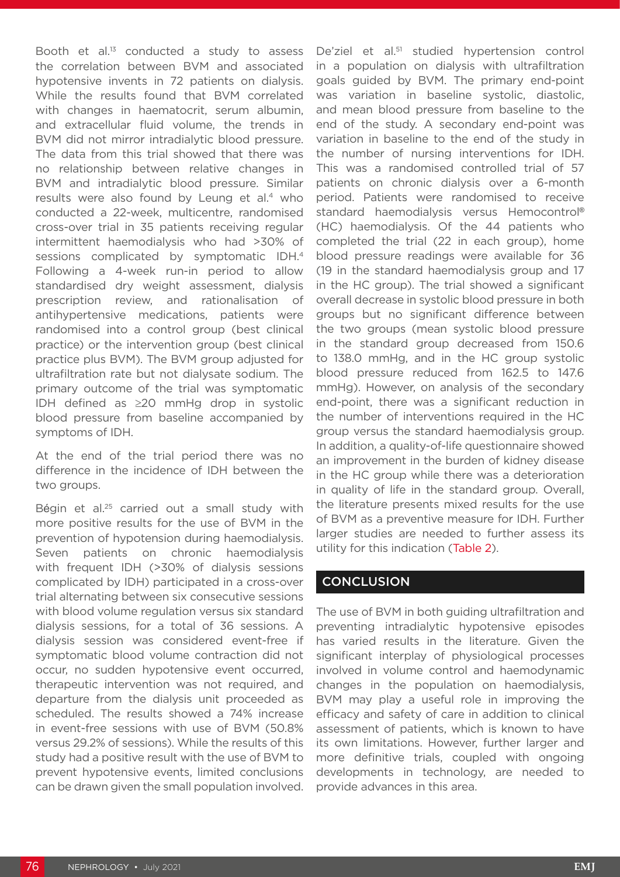Booth et al.13 conducted a study to assess the correlation between BVM and associated hypotensive invents in 72 patients on dialysis. While the results found that BVM correlated with changes in haematocrit, serum albumin, and extracellular fluid volume, the trends in BVM did not mirror intradialytic blood pressure. The data from this trial showed that there was no relationship between relative changes in BVM and intradialytic blood pressure. Similar results were also found by Leung et al.<sup>4</sup> who conducted a 22-week, multicentre, randomised cross-over trial in 35 patients receiving regular intermittent haemodialysis who had >30% of sessions complicated by symptomatic IDH.4 Following a 4-week run-in period to allow standardised dry weight assessment, dialysis prescription review, and rationalisation of antihypertensive medications, patients were randomised into a control group (best clinical practice) or the intervention group (best clinical practice plus BVM). The BVM group adjusted for ultrafiltration rate but not dialysate sodium. The primary outcome of the trial was symptomatic IDH defined as ≥20 mmHg drop in systolic blood pressure from baseline accompanied by symptoms of IDH.

At the end of the trial period there was no difference in the incidence of IDH between the two groups.

Bégin et al.<sup>25</sup> carried out a small study with more positive results for the use of BVM in the prevention of hypotension during haemodialysis. Seven patients on chronic haemodialysis with frequent IDH (>30% of dialysis sessions complicated by IDH) participated in a cross-over trial alternating between six consecutive sessions with blood volume regulation versus six standard dialysis sessions, for a total of 36 sessions. A dialysis session was considered event-free if symptomatic blood volume contraction did not occur, no sudden hypotensive event occurred, therapeutic intervention was not required, and departure from the dialysis unit proceeded as scheduled. The results showed a 74% increase in event-free sessions with use of BVM (50.8% versus 29.2% of sessions). While the results of this study had a positive result with the use of BVM to prevent hypotensive events, limited conclusions can be drawn given the small population involved. De'ziel et al.<sup>51</sup> studied hypertension control in a population on dialysis with ultrafiltration goals guided by BVM. The primary end-point was variation in baseline systolic, diastolic, and mean blood pressure from baseline to the end of the study. A secondary end-point was variation in baseline to the end of the study in the number of nursing interventions for IDH. This was a randomised controlled trial of 57 patients on chronic dialysis over a 6-month period. Patients were randomised to receive standard haemodialysis versus Hemocontrol**®** (HC) haemodialysis. Of the 44 patients who completed the trial (22 in each group), home blood pressure readings were available for 36 (19 in the standard haemodialysis group and 17 in the HC group). The trial showed a significant overall decrease in systolic blood pressure in both groups but no significant difference between the two groups (mean systolic blood pressure in the standard group decreased from 150.6 to 138.0 mmHg, and in the HC group systolic blood pressure reduced from 162.5 to 147.6 mmHg). However, on analysis of the secondary end-point, there was a significant reduction in the number of interventions required in the HC group versus the standard haemodialysis group. In addition, a quality-of-life questionnaire showed an improvement in the burden of kidney disease in the HC group while there was a deterioration in quality of life in the standard group. Overall, the literature presents mixed results for the use of BVM as a preventive measure for IDH. Further larger studies are needed to further assess its utility for this indication (Table 2).

## **CONCLUSION**

The use of BVM in both guiding ultrafiltration and preventing intradialytic hypotensive episodes has varied results in the literature. Given the significant interplay of physiological processes involved in volume control and haemodynamic changes in the population on haemodialysis, BVM may play a useful role in improving the efficacy and safety of care in addition to clinical assessment of patients, which is known to have its own limitations. However, further larger and more definitive trials, coupled with ongoing developments in technology, are needed to provide advances in this area.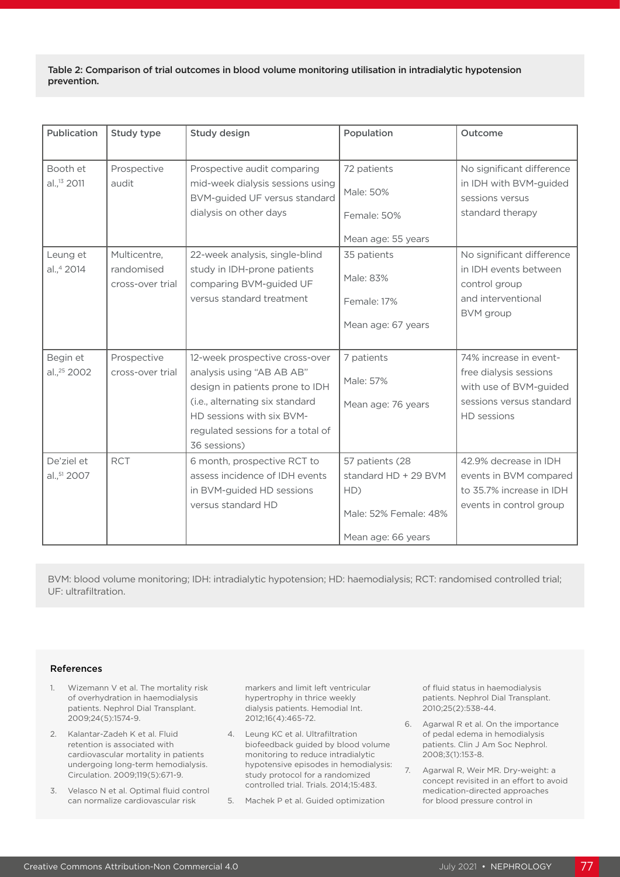Table 2: Comparison of trial outcomes in blood volume monitoring utilisation in intradialytic hypotension prevention.

| Publication             | Study type                     | <b>Study design</b>                                               | Population            | Outcome                                   |
|-------------------------|--------------------------------|-------------------------------------------------------------------|-----------------------|-------------------------------------------|
| Booth et                | Prospective                    | Prospective audit comparing                                       | 72 patients           | No significant difference                 |
| al., <sup>13</sup> 2011 | audit                          | mid-week dialysis sessions using<br>BVM-guided UF versus standard | Male: 50%             | in IDH with BVM-guided<br>sessions versus |
|                         |                                | dialysis on other days                                            | Female: 50%           | standard therapy                          |
|                         |                                |                                                                   | Mean age: 55 years    |                                           |
| Leung et                | Multicentre,                   | 22-week analysis, single-blind                                    | 35 patients           | No significant difference                 |
| al.,4 2014              | randomised<br>cross-over trial | study in IDH-prone patients<br>comparing BVM-guided UF            | Male: 83%             | in IDH events between<br>control group    |
|                         |                                | versus standard treatment                                         | Female: 17%           | and interventional                        |
|                         |                                |                                                                   | Mean age: 67 years    | BVM group                                 |
| Begin et                | Prospective                    | 12-week prospective cross-over                                    | 7 patients            | 74% increase in event-                    |
| al., <sup>25</sup> 2002 | cross-over trial               | analysis using "AB AB AB"                                         |                       | free dialysis sessions                    |
|                         |                                | design in patients prone to IDH                                   | Male: 57%             | with use of BVM-guided                    |
|                         |                                | (i.e., alternating six standard<br>HD sessions with six BVM-      | Mean age: 76 years    | sessions versus standard<br>HD sessions   |
|                         |                                | regulated sessions for a total of                                 |                       |                                           |
|                         |                                | 36 sessions)                                                      |                       |                                           |
| De'ziel et              | <b>RCT</b>                     | 6 month, prospective RCT to                                       | 57 patients (28       | 42.9% decrease in IDH                     |
| al., 51 2007            |                                | assess incidence of IDH events                                    | standard HD + 29 BVM  | events in BVM compared                    |
|                         |                                | in BVM-guided HD sessions                                         | HD)                   | to 35.7% increase in IDH                  |
|                         |                                | versus standard HD                                                | Male: 52% Female: 48% | events in control group                   |
|                         |                                |                                                                   | Mean age: 66 years    |                                           |

BVM: blood volume monitoring; IDH: intradialytic hypotension; HD: haemodialysis; RCT: randomised controlled trial; UF: ultrafiltration.

#### References

- 1. Wizemann V et al. The mortality risk of overhydration in haemodialysis patients. Nephrol Dial Transplant. 2009;24(5):1574-9.
- 2. Kalantar-Zadeh K et al. Fluid retention is associated with cardiovascular mortality in patients undergoing long-term hemodialysis. Circulation. 2009;119(5):671-9.
- 3. Velasco N et al. Optimal fluid control can normalize cardiovascular risk

markers and limit left ventricular hypertrophy in thrice weekly dialysis patients. Hemodial Int. 2012;16(4):465-72.

- 4. Leung KC et al. Ultrafiltration biofeedback guided by blood volume monitoring to reduce intradialytic hypotensive episodes in hemodialysis: study protocol for a randomized controlled trial. Trials. 2014;15:483.
- 5. Machek P et al. Guided optimization

of fluid status in haemodialysis patients. Nephrol Dial Transplant. 2010;25(2):538-44.

- 6. Agarwal R et al. On the importance of pedal edema in hemodialysis patients. Clin J Am Soc Nephrol. 2008;3(1):153-8.
- 7. Agarwal R, Weir MR. Dry-weight: a concept revisited in an effort to avoid medication-directed approaches for blood pressure control in